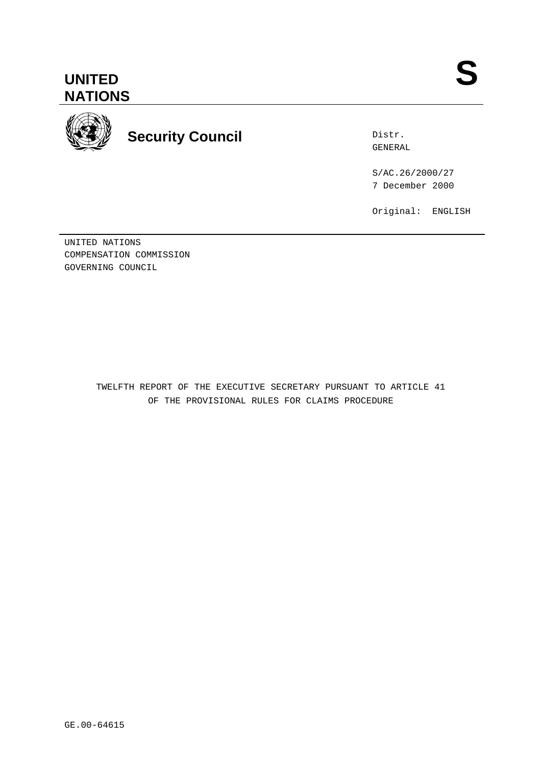

**Security Council**

Distr. GENERAL

S/AC.26/2000/27 7 December 2000

Original: ENGLISH

UNITED NATIONS COMPENSATION COMMISSION GOVERNING COUNCIL

> TWELFTH REPORT OF THE EXECUTIVE SECRETARY PURSUANT TO ARTICLE 41 OF THE PROVISIONAL RULES FOR CLAIMS PROCEDURE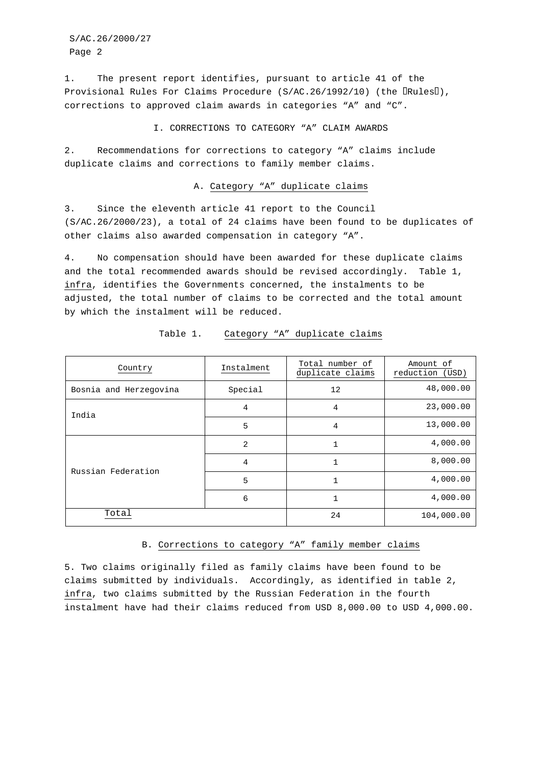S/AC.26/2000/27 Page 2

1. The present report identifies, pursuant to article 41 of the Provisional Rules For Claims Procedure (S/AC.26/1992/10) (the  $\lVert \text{Rules} \rVert$ ), corrections to approved claim awards in categories "A" and "C".

I. CORRECTIONS TO CATEGORY "A" CLAIM AWARDS

2. Recommendations for corrections to category "A" claims include duplicate claims and corrections to family member claims.

#### A. Category "A" duplicate claims

3. Since the eleventh article 41 report to the Council (S/AC.26/2000/23), a total of 24 claims have been found to be duplicates of other claims also awarded compensation in category "A".

4. No compensation should have been awarded for these duplicate claims and the total recommended awards should be revised accordingly. Table 1, infra, identifies the Governments concerned, the instalments to be adjusted, the total number of claims to be corrected and the total amount by which the instalment will be reduced.

| Country                | Instalment | Total number of<br>duplicate claims | Amount of<br>reduction (USD) |
|------------------------|------------|-------------------------------------|------------------------------|
| Bosnia and Herzegovina | Special    | 12                                  | 48,000.00                    |
| India                  | 4          | 4                                   | 23,000.00                    |
|                        | 5          | $\overline{4}$                      | 13,000.00                    |
| Russian Federation     | 2          | 1                                   | 4,000.00                     |
|                        | 4          | 1                                   | 8,000.00                     |
|                        | 5          | 1                                   | 4,000.00                     |
|                        | 6          | 1                                   | 4,000.00                     |
| Total                  |            | 24                                  | 104,000.00                   |

Table 1. Category "A" duplicate claims

### B. Corrections to category "A" family member claims

5. Two claims originally filed as family claims have been found to be claims submitted by individuals. Accordingly, as identified in table 2, infra, two claims submitted by the Russian Federation in the fourth instalment have had their claims reduced from USD 8,000.00 to USD 4,000.00.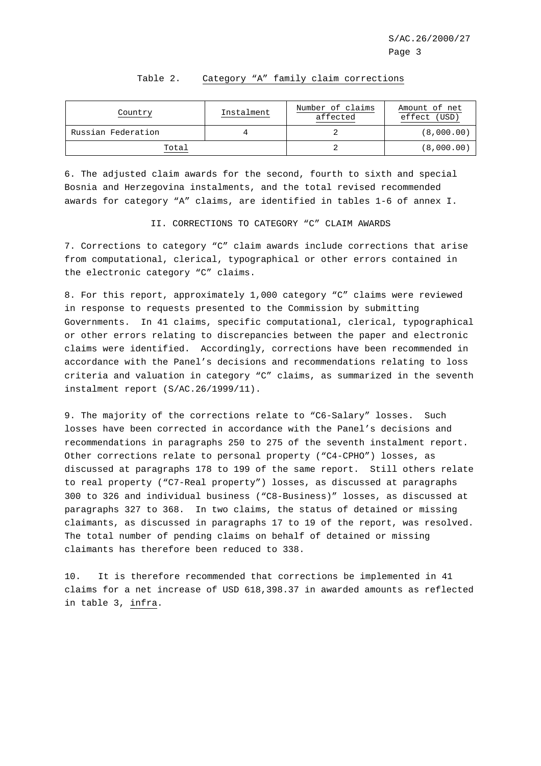| Country            | Instalment | Number of claims<br>affected | Amount of net<br>effect (USD) |
|--------------------|------------|------------------------------|-------------------------------|
| Russian Federation |            |                              | (8,000.00)                    |
| Total              |            |                              | (8,000.00)                    |

#### Table 2. Category "A" family claim corrections

6. The adjusted claim awards for the second, fourth to sixth and special Bosnia and Herzegovina instalments, and the total revised recommended awards for category "A" claims, are identified in tables 1-6 of annex I.

#### II. CORRECTIONS TO CATEGORY "C" CLAIM AWARDS

7. Corrections to category "C" claim awards include corrections that arise from computational, clerical, typographical or other errors contained in the electronic category "C" claims.

8. For this report, approximately 1,000 category "C" claims were reviewed in response to requests presented to the Commission by submitting Governments. In 41 claims, specific computational, clerical, typographical or other errors relating to discrepancies between the paper and electronic claims were identified. Accordingly, corrections have been recommended in accordance with the Panel's decisions and recommendations relating to loss criteria and valuation in category "C" claims, as summarized in the seventh instalment report (S/AC.26/1999/11).

9. The majority of the corrections relate to "C6-Salary" losses. Such losses have been corrected in accordance with the Panel's decisions and recommendations in paragraphs 250 to 275 of the seventh instalment report. Other corrections relate to personal property ("C4-CPHO") losses, as discussed at paragraphs 178 to 199 of the same report. Still others relate to real property ("C7-Real property") losses, as discussed at paragraphs 300 to 326 and individual business ("C8-Business)" losses, as discussed at paragraphs 327 to 368. In two claims, the status of detained or missing claimants, as discussed in paragraphs 17 to 19 of the report, was resolved. The total number of pending claims on behalf of detained or missing claimants has therefore been reduced to 338.

10. It is therefore recommended that corrections be implemented in 41 claims for a net increase of USD 618,398.37 in awarded amounts as reflected in table 3, infra.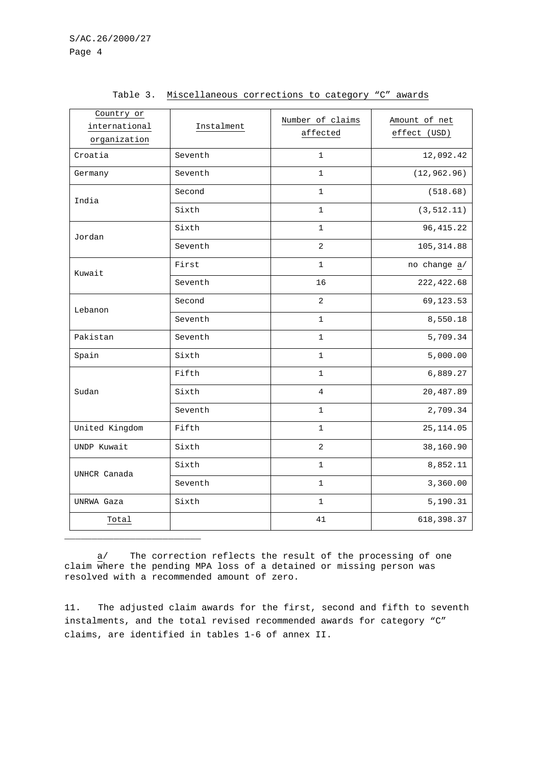| Country or<br>international<br>organization | Instalment | Number of claims<br>affected | Amount of net<br>effect (USD) |
|---------------------------------------------|------------|------------------------------|-------------------------------|
| Croatia                                     | Seventh    | $\mathbf 1$                  | 12,092.42                     |
| Germany                                     | Seventh    | $\mathbf{1}$                 | (12, 962.96)                  |
| India                                       | Second     | $\mathbf{1}$                 | (518.68)                      |
|                                             | Sixth      | $\mathbf 1$                  | (3, 512.11)                   |
| Jordan                                      | Sixth      | 1                            | 96, 415.22                    |
|                                             | Seventh    | 2                            | 105, 314.88                   |
| Kuwait                                      | First      | $\mathbf{1}$                 | no change a/                  |
|                                             | Seventh    | 16                           | 222, 422.68                   |
| Lebanon                                     | Second     | $\overline{2}$               | 69, 123. 53                   |
|                                             | Seventh    | $\mathbf 1$                  | 8,550.18                      |
| Pakistan                                    | Seventh    | $\mathbf{1}$                 | 5,709.34                      |
| Spain                                       | Sixth      | $\mathbf{1}$                 | 5,000.00                      |
|                                             | Fifth      | $\mathbf{1}$                 | 6,889.27                      |
| Sudan                                       | Sixth      | 4                            | 20,487.89                     |
|                                             | Seventh    | 1                            | 2,709.34                      |
| United Kingdom                              | Fifth      | $\mathbf{1}$                 | 25, 114.05                    |
| UNDP Kuwait                                 | Sixth      | $\overline{2}$               | 38,160.90                     |
|                                             | Sixth      | $\mathbf{1}$                 | 8,852.11                      |
| UNHCR Canada                                | Seventh    | 1                            | 3,360.00                      |
| UNRWA Gaza                                  | Sixth      | 1                            | 5,190.31                      |
| Total                                       |            | 41                           | 618, 398.37                   |

Table 3. Miscellaneous corrections to category "C" awards

 $\underline{a}$  The correction reflects the result of the processing of one claim where the pending MPA loss of a detained or missing person was resolved with a recommended amount of zero.

11. The adjusted claim awards for the first, second and fifth to seventh instalments, and the total revised recommended awards for category "C" claims, are identified in tables 1-6 of annex II.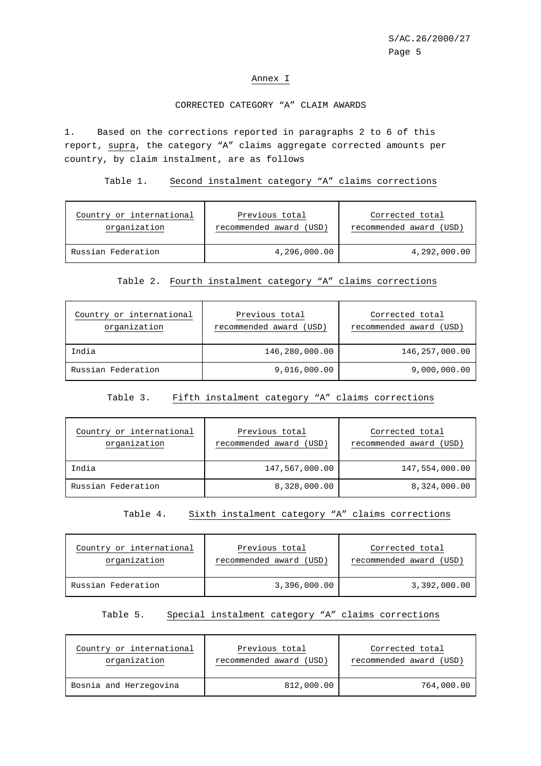#### Annex I

## CORRECTED CATEGORY "A" CLAIM AWARDS

1. Based on the corrections reported in paragraphs 2 to 6 of this report, supra, the category "A" claims aggregate corrected amounts per country, by claim instalment, are as follows

#### Table 1. Second instalment category "A" claims corrections

| Country or international | Previous total          | Corrected total         |
|--------------------------|-------------------------|-------------------------|
| organization             | recommended award (USD) | recommended award (USD) |
| Russian Federation       | 4,296,000.00            | 4,292,000.00            |

## Table 2. Fourth instalment category "A" claims corrections

| Country or international<br>organization | Previous total<br>recommended award (USD) | Corrected total<br>recommended award (USD) |
|------------------------------------------|-------------------------------------------|--------------------------------------------|
| India                                    | 146,280,000.00                            | 146,257,000.00                             |
| Russian Federation                       | 9,016,000.00                              | 9,000,000.00                               |

## Table 3. Fifth instalment category "A" claims corrections

| Country or international<br>organization | Previous total<br>recommended award (USD) | Corrected total<br>recommended award (USD) |
|------------------------------------------|-------------------------------------------|--------------------------------------------|
| India                                    | 147,567,000.00                            | 147,554,000.00                             |
| Russian Federation                       | 8,328,000.00                              | 8,324,000.00                               |

### Table 4. Sixth instalment category "A" claims corrections

| Country or international | Previous total          | Corrected total         |
|--------------------------|-------------------------|-------------------------|
| organization             | recommended award (USD) | recommended award (USD) |
| Russian Federation       | 3,396,000.00            | 3,392,000.00            |

#### Table 5. Special instalment category "A" claims corrections

| Country or international | Previous total          | Corrected total         |
|--------------------------|-------------------------|-------------------------|
| organization             | recommended award (USD) | recommended award (USD) |
| Bosnia and Herzegovina   | 812,000.00              | 764,000.00              |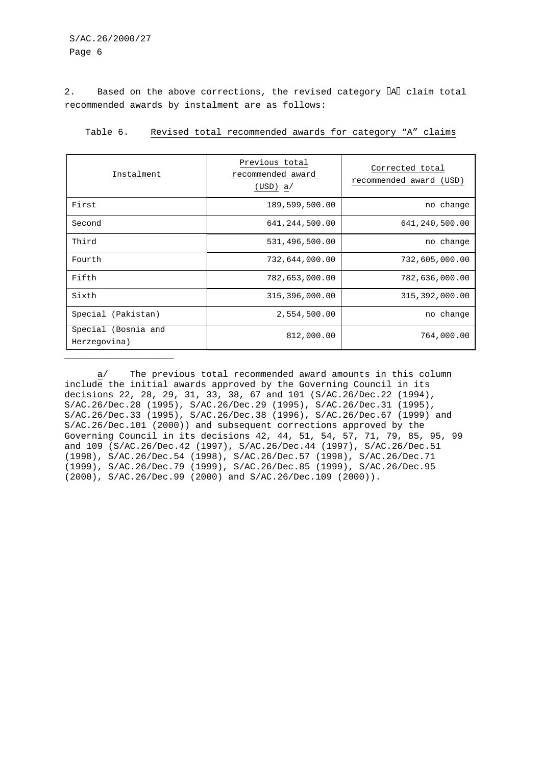## S/AC.26/2000/27 Page 6

\_\_\_\_\_\_\_\_\_\_\_\_\_\_\_\_\_\_\_\_

2. Based on the above corrections, the revised category  $\llbracket \text{All claim total} \rrbracket$ recommended awards by instalment are as follows:

| Instalment                          | Previous total<br>recommended award<br>(USD) a/ | Corrected total<br>recommended award (USD) |
|-------------------------------------|-------------------------------------------------|--------------------------------------------|
| First                               | 189,599,500.00                                  | change<br>no                               |
| Second                              | 641, 244, 500.00                                | 641,240,500.00                             |
| Third                               | 531,496,500.00                                  | no change                                  |
| Fourth                              | 732,644,000.00                                  | 732,605,000.00                             |
| Fifth                               | 782,653,000.00                                  | 782,636,000.00                             |
| Sixth                               | 315,396,000.00                                  | 315, 392, 000.00                           |
| Special (Pakistan)                  | 2,554,500.00                                    | no change                                  |
| Special (Bosnia and<br>Herzegovina) | 812,000.00                                      | 764,000.00                                 |

Table 6. Revised total recommended awards for category "A" claims

a/ The previous total recommended award amounts in this column include the initial awards approved by the Governing Council in its decisions 22, 28, 29, 31, 33, 38, 67 and 101 (S/AC.26/Dec.22 (1994), S/AC.26/Dec.28 (1995), S/AC.26/Dec.29 (1995), S/AC.26/Dec.31 (1995), S/AC.26/Dec.33 (1995), S/AC.26/Dec.38 (1996), S/AC.26/Dec.67 (1999) and S/AC.26/Dec.101 (2000)) and subsequent corrections approved by the Governing Council in its decisions 42, 44, 51, 54, 57, 71, 79, 85, 95, 99 and 109 (S/AC.26/Dec.42 (1997), S/AC.26/Dec.44 (1997), S/AC.26/Dec.51 (1998), S/AC.26/Dec.54 (1998), S/AC.26/Dec.57 (1998), S/AC.26/Dec.71 (1999), S/AC.26/Dec.79 (1999), S/AC.26/Dec.85 (1999), S/AC.26/Dec.95 (2000), S/AC.26/Dec.99 (2000) and S/AC.26/Dec.109 (2000)).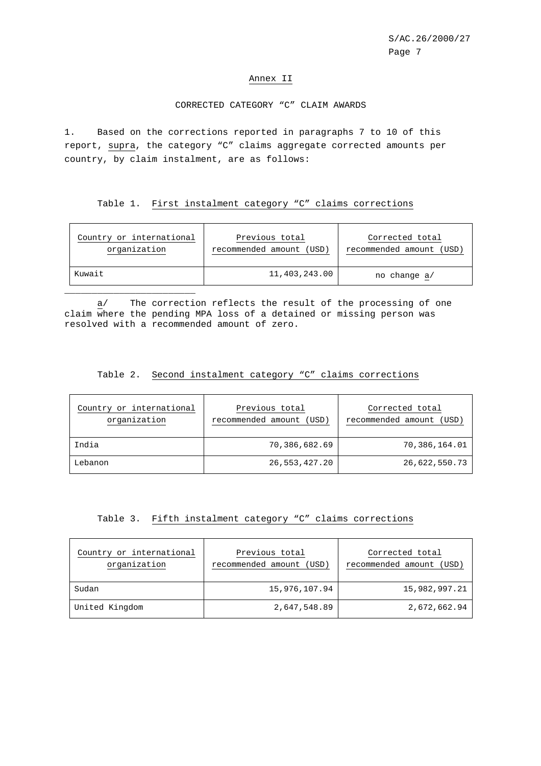#### Annex II

### CORRECTED CATEGORY "C" CLAIM AWARDS

1. Based on the corrections reported in paragraphs 7 to 10 of this report, supra, the category "C" claims aggregate corrected amounts per country, by claim instalment, are as follows:

## Table 1. First instalment category "C" claims corrections

| Country or international | Previous total           | Corrected total          |
|--------------------------|--------------------------|--------------------------|
| organization             | recommended amount (USD) | recommended amount (USD) |
| Kuwait                   | 11,403,243.00            | no change a/             |

a/ The correction reflects the result of the processing of one claim where the pending MPA loss of a detained or missing person was resolved with a recommended amount of zero.

\_\_\_\_\_\_\_\_\_\_\_\_\_\_\_\_\_\_\_\_\_\_\_\_

### Table 2. Second instalment category "C" claims corrections

| Country or international<br>organization | Previous total<br>recommended amount (USD) | Corrected total<br>recommended amount<br>(USD) |
|------------------------------------------|--------------------------------------------|------------------------------------------------|
| India                                    | 70,386,682.69                              | 70,386,164.01                                  |
| Lebanon                                  | 26,553,427.20                              | 26,622,550.73                                  |

### Table 3. Fifth instalment category "C" claims corrections

| Country or international<br>organization | Previous total<br>recommended amount (USD) | Corrected total<br>recommended amount (USD) |
|------------------------------------------|--------------------------------------------|---------------------------------------------|
| Sudan                                    | 15,976,107.94                              | 15,982,997.21                               |
| United Kingdom                           | 2,647,548.89                               | 2,672,662.94                                |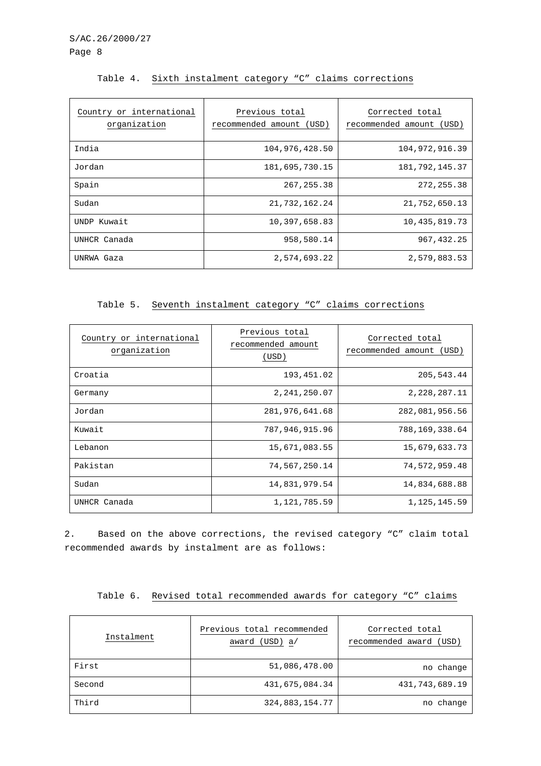| Country or international<br>organization | Previous total<br>recommended amount (USD) | Corrected total<br>recommended amount<br>(USD) |
|------------------------------------------|--------------------------------------------|------------------------------------------------|
| India                                    | 104,976,428.50                             | 104,972,916.39                                 |
| Jordan                                   | 181,695,730.15                             | 181, 792, 145.37                               |
| Spain                                    | 267, 255.38                                | 272, 255.38                                    |
| Sudan                                    | 21,732,162.24                              | 21,752,650.13                                  |
| UNDP Kuwait                              | 10,397,658.83                              | 10,435,819.73                                  |
| UNHCR Canada                             | 958,580.14                                 | 967, 432.25                                    |
| UNRWA Gaza                               | 2,574,693.22                               | 2,579,883.53                                   |

# Table 4. Sixth instalment category "C" claims corrections

Table 5. Seventh instalment category "C" claims corrections

| Country or international<br>organization | Previous total<br>recommended amount<br>(USD) | Corrected total<br>recommended amount<br>(USD) |
|------------------------------------------|-----------------------------------------------|------------------------------------------------|
| Croatia                                  | 193, 451.02                                   | 205, 543.44                                    |
| Germany                                  | 2, 241, 250.07                                | 2, 228, 287. 11                                |
| Jordan                                   | 281,976,641.68                                | 282,081,956.56                                 |
| Kuwait                                   | 787,946,915.96                                | 788,169,338.64                                 |
| Lebanon                                  | 15,671,083.55                                 | 15,679,633.73                                  |
| Pakistan                                 | 74,567,250.14                                 | 74,572,959.48                                  |
| Sudan                                    | 14,831,979.54                                 | 14,834,688.88                                  |
| UNHCR Canada                             | 1,121,785.59                                  | 1, 125, 145.59                                 |

2. Based on the above corrections, the revised category "C" claim total recommended awards by instalment are as follows:

|  |  |  |  |  | Table 6. Revised total recommended awards for category "C" claims |  |  |  |  |  |
|--|--|--|--|--|-------------------------------------------------------------------|--|--|--|--|--|
|--|--|--|--|--|-------------------------------------------------------------------|--|--|--|--|--|

| Instalment | Previous total recommended<br>award (USD) a/ | Corrected total<br>recommended award (USD) |
|------------|----------------------------------------------|--------------------------------------------|
| First      | 51,086,478.00                                | no change                                  |
| Second     | 431,675,084.34                               | 431,743,689.19                             |
| Third      | 324,883,154.77                               | no change                                  |